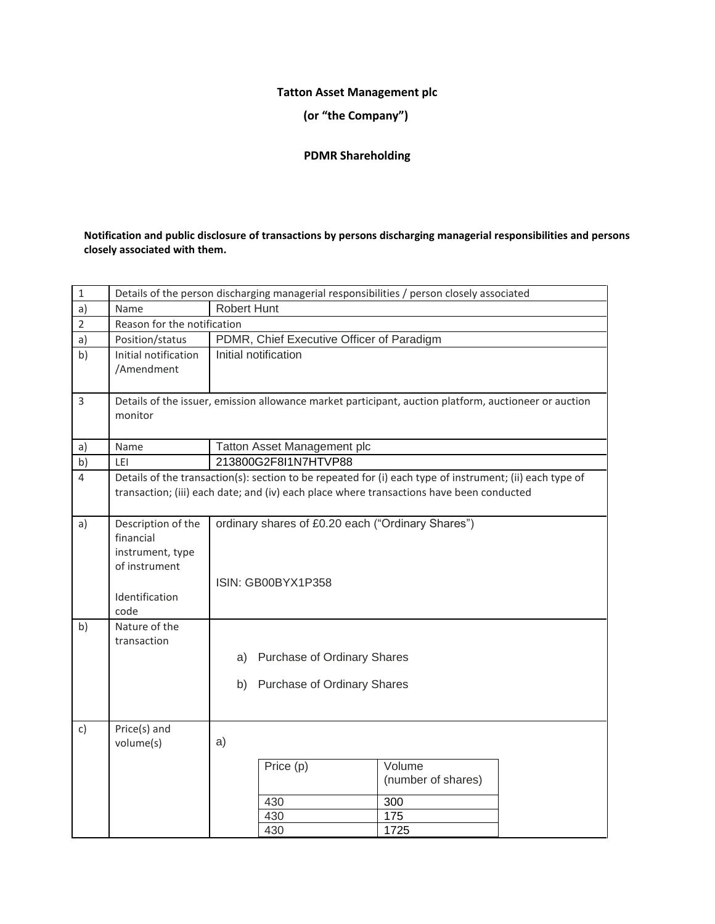# **Tatton Asset Management plc**

**(or "the Company")**

## **PDMR Shareholding**

### **Notification and public disclosure of transactions by persons discharging managerial responsibilities and persons closely associated with them.**

| $\mathbf{1}$   | Details of the person discharging managerial responsibilities / person closely associated      |                                                                                                                                                                                                      |  |  |  |  |  |
|----------------|------------------------------------------------------------------------------------------------|------------------------------------------------------------------------------------------------------------------------------------------------------------------------------------------------------|--|--|--|--|--|
| a)             | Name                                                                                           | <b>Robert Hunt</b>                                                                                                                                                                                   |  |  |  |  |  |
| $\overline{2}$ | Reason for the notification                                                                    |                                                                                                                                                                                                      |  |  |  |  |  |
| a)             | Position/status                                                                                | PDMR, Chief Executive Officer of Paradigm                                                                                                                                                            |  |  |  |  |  |
| b)             | Initial notification<br>/Amendment                                                             | Initial notification                                                                                                                                                                                 |  |  |  |  |  |
| 3              | monitor                                                                                        | Details of the issuer, emission allowance market participant, auction platform, auctioneer or auction                                                                                                |  |  |  |  |  |
| a)             | Name                                                                                           | Tatton Asset Management plc                                                                                                                                                                          |  |  |  |  |  |
| b)             | LEI                                                                                            | 213800G2F8I1N7HTVP88                                                                                                                                                                                 |  |  |  |  |  |
| 4              |                                                                                                | Details of the transaction(s): section to be repeated for (i) each type of instrument; (ii) each type of<br>transaction; (iii) each date; and (iv) each place where transactions have been conducted |  |  |  |  |  |
| a)             | Description of the<br>financial<br>instrument, type<br>of instrument<br>Identification<br>code | ordinary shares of £0.20 each ("Ordinary Shares")<br>ISIN: GB00BYX1P358                                                                                                                              |  |  |  |  |  |
| b)             | Nature of the<br>transaction                                                                   | <b>Purchase of Ordinary Shares</b><br>a)<br>b) Purchase of Ordinary Shares                                                                                                                           |  |  |  |  |  |
| $\mathsf{c}$ ) | Price(s) and<br>volume(s)                                                                      | a)<br>Price (p)<br>Volume<br>(number of shares)<br>430<br>300<br>430<br>175<br>430<br>1725                                                                                                           |  |  |  |  |  |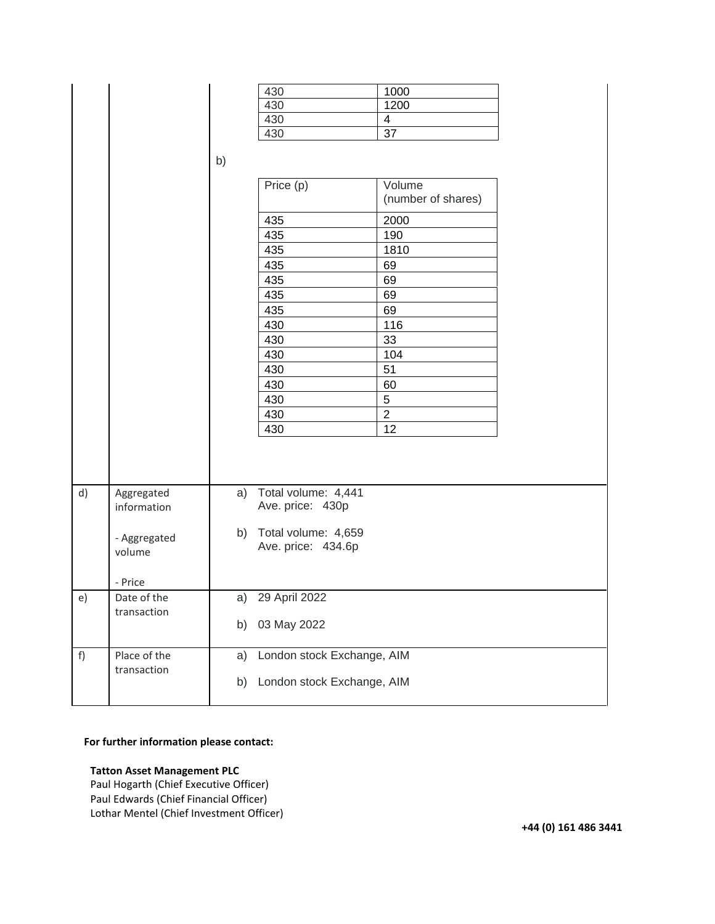|    |                                                     | b)       | 430<br>430<br>430<br>430<br>Price (p)<br>435<br>435<br>435<br>435<br>435<br>435<br>435<br>430<br>430<br>430<br>430<br>430<br>430<br>430<br>430 | 1000<br>1200<br>$\overline{\mathbf{4}}$<br>$\overline{37}$<br>Volume<br>(number of shares)<br>2000<br>190<br>1810<br>69<br>69<br>69<br>69<br>116<br>33<br>104<br>51<br>60<br>$\sqrt{5}$<br>$\overline{2}$<br>12 |  |  |
|----|-----------------------------------------------------|----------|------------------------------------------------------------------------------------------------------------------------------------------------|-----------------------------------------------------------------------------------------------------------------------------------------------------------------------------------------------------------------|--|--|
| d) | Aggregated<br>information<br>- Aggregated<br>volume | a)       | Total volume: 4,441<br>Ave. price: 430p<br>b) Total volume: 4,659<br>Ave. price: 434.6p                                                        |                                                                                                                                                                                                                 |  |  |
| e) | - Price<br>Date of the                              | a)       | 29 April 2022                                                                                                                                  |                                                                                                                                                                                                                 |  |  |
|    | transaction                                         | b)       | 03 May 2022                                                                                                                                    |                                                                                                                                                                                                                 |  |  |
| f) | Place of the<br>transaction                         | a)<br>b) | London stock Exchange, AIM<br>London stock Exchange, AIM                                                                                       |                                                                                                                                                                                                                 |  |  |

### **For further information please contact:**

#### **Tatton Asset Management PLC**

Paul Hogarth (Chief Executive Officer) Paul Edwards (Chief Financial Officer) Lothar Mentel (Chief Investment Officer)